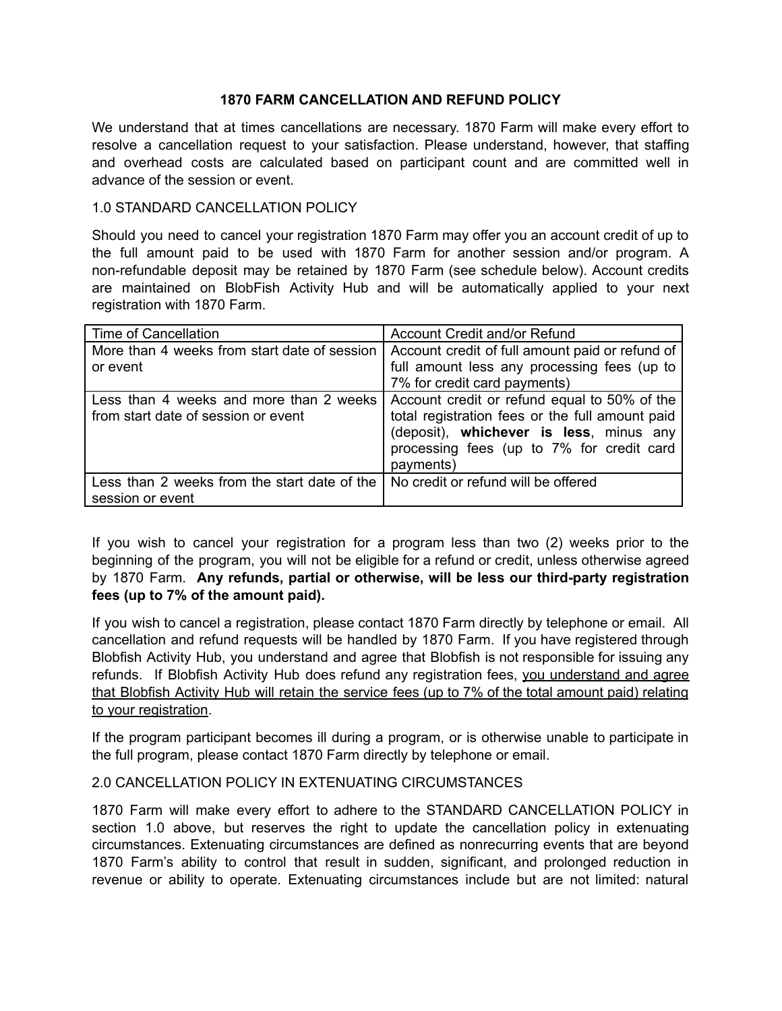## **1870 FARM CANCELLATION AND REFUND POLICY**

We understand that at times cancellations are necessary. 1870 Farm will make every effort to resolve a cancellation request to your satisfaction. Please understand, however, that staffing and overhead costs are calculated based on participant count and are committed well in advance of the session or event.

## 1.0 STANDARD CANCELLATION POLICY

Should you need to cancel your registration 1870 Farm may offer you an account credit of up to the full amount paid to be used with 1870 Farm for another session and/or program. A non-refundable deposit may be retained by 1870 Farm (see schedule below). Account credits are maintained on BlobFish Activity Hub and will be automatically applied to your next registration with 1870 Farm.

| Time of Cancellation                         | Account Credit and/or Refund                    |
|----------------------------------------------|-------------------------------------------------|
| More than 4 weeks from start date of session | Account credit of full amount paid or refund of |
| or event                                     | full amount less any processing fees (up to     |
|                                              | 7% for credit card payments)                    |
| Less than 4 weeks and more than 2 weeks      | Account credit or refund equal to 50% of the    |
| from start date of session or event          | total registration fees or the full amount paid |
|                                              | (deposit), whichever is less, minus any         |
|                                              | processing fees (up to 7% for credit card       |
|                                              | payments)                                       |
| Less than 2 weeks from the start date of the | No credit or refund will be offered             |
| session or event                             |                                                 |

If you wish to cancel your registration for a program less than two (2) weeks prior to the beginning of the program, you will not be eligible for a refund or credit, unless otherwise agreed by 1870 Farm. **Any refunds, partial or otherwise, will be less our third-party registration fees (up to 7% of the amount paid).**

If you wish to cancel a registration, please contact 1870 Farm directly by telephone or email. All cancellation and refund requests will be handled by 1870 Farm. If you have registered through Blobfish Activity Hub, you understand and agree that Blobfish is not responsible for issuing any refunds. If Blobfish Activity Hub does refund any registration fees, you understand and agree that Blobfish Activity Hub will retain the service fees (up to 7% of the total amount paid) relating to your registration.

If the program participant becomes ill during a program, or is otherwise unable to participate in the full program, please contact 1870 Farm directly by telephone or email.

## 2.0 CANCELLATION POLICY IN EXTENUATING CIRCUMSTANCES

1870 Farm will make every effort to adhere to the STANDARD CANCELLATION POLICY in section 1.0 above, but reserves the right to update the cancellation policy in extenuating circumstances. Extenuating circumstances are defined as nonrecurring events that are beyond 1870 Farm's ability to control that result in sudden, significant, and prolonged reduction in revenue or ability to operate. Extenuating circumstances include but are not limited: natural